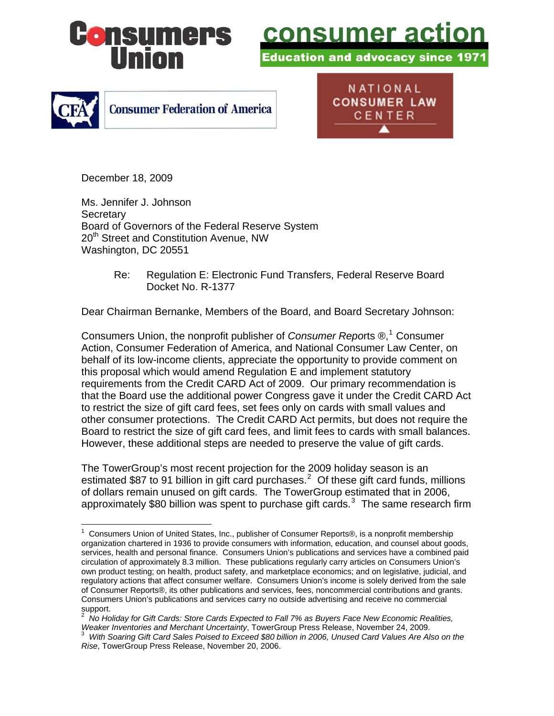

<u>consumer acti</u>

ducation and advocacy since 197



NATIONAL **CONSUMER LAW** CENTER

December 18, 2009

 $\overline{a}$ 

Ms. Jennifer J. Johnson **Secretary** Board of Governors of the Federal Reserve System 20<sup>th</sup> Street and Constitution Avenue, NW Washington, DC 20551

> Re: Regulation E: Electronic Fund Transfers, Federal Reserve Board Docket No. R-1377

Dear Chairman Bernanke, Members of the Board, and Board Secretary Johnson:

Consumers Union, the nonprofit publisher of *Consumer Repo*rts ®,<sup>[1](#page-0-0)</sup> Consumer Action, Consumer Federation of America, and National Consumer Law Center, on behalf of its low-income clients, appreciate the opportunity to provide comment on this proposal which would amend Regulation E and implement statutory requirements from the Credit CARD Act of 2009. Our primary recommendation is that the Board use the additional power Congress gave it under the Credit CARD Act to restrict the size of gift card fees, set fees only on cards with small values and other consumer protections. The Credit CARD Act permits, but does not require the Board to restrict the size of gift card fees, and limit fees to cards with small balances. However, these additional steps are needed to preserve the value of gift cards.

The TowerGroup's most recent projection for the 2009 holiday season is an estimated \$87 to 91 billion in gift card purchases.<sup>[2](#page-0-1)</sup> Of these gift card funds, millions of dollars remain unused on gift cards. The TowerGroup estimated that in 2006, approximately \$80 billion was spent to purchase gift cards. $3$  The same research firm

<span id="page-0-0"></span><sup>&</sup>lt;sup>1</sup> Consumers Union of United States, Inc., publisher of Consumer Reports®, is a nonprofit membership organization chartered in 1936 to provide consumers with information, education, and counsel about goods, services, health and personal finance. Consumers Union's publications and services have a combined paid circulation of approximately 8.3 million. These publications regularly carry articles on Consumers Union's own product testing; on health, product safety, and marketplace economics; and on legislative, judicial, and regulatory actions that affect consumer welfare. Consumers Union's income is solely derived from the sale of Consumer Reports®, its other publications and services, fees, noncommercial contributions and grants. Consumers Union's publications and services carry no outside advertising and receive no commercial support.

<span id="page-0-1"></span><sup>2</sup> *No Holiday for Gift Cards: Store Cards Expected to Fall 7% as Buyers Face New Economic Realities, Weaker Inventories and Merchant Uncertainty*, TowerGroup Press Release, November 24, 2009.

<span id="page-0-2"></span>*With Soaring Gift Card Sales Poised to Exceed \$80 billion in 2006, Unused Card Values Are Also on the Rise*, TowerGroup Press Release, November 20, 2006.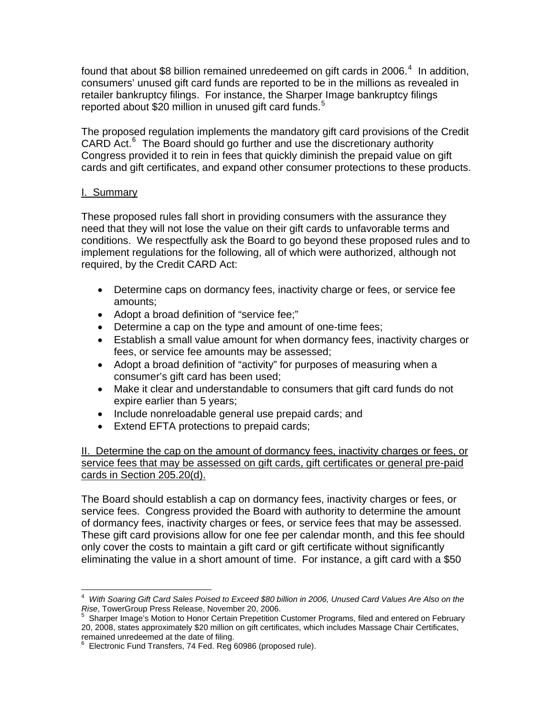found that about \$8 billion remained unredeemed on gift cards in 2006.<sup>[4](#page-1-0)</sup> In addition, consumers' unused gift card funds are reported to be in the millions as revealed in retailer bankruptcy filings. For instance, the Sharper Image bankruptcy filings reported about \$20 million in unused gift card funds.<sup>[5](#page-1-1)</sup>

The proposed regulation implements the mandatory gift card provisions of the Credit CARD Act.<sup>[6](#page-1-2)</sup> The Board should go further and use the discretionary authority Congress provided it to rein in fees that quickly diminish the prepaid value on gift cards and gift certificates, and expand other consumer protections to these products.

### I. Summary

These proposed rules fall short in providing consumers with the assurance they need that they will not lose the value on their gift cards to unfavorable terms and conditions. We respectfully ask the Board to go beyond these proposed rules and to implement regulations for the following, all of which were authorized, although not required, by the Credit CARD Act:

- Determine caps on dormancy fees, inactivity charge or fees, or service fee amounts;
- Adopt a broad definition of "service fee;"
- Determine a cap on the type and amount of one-time fees;
- Establish a small value amount for when dormancy fees, inactivity charges or fees, or service fee amounts may be assessed;
- Adopt a broad definition of "activity" for purposes of measuring when a consumer's gift card has been used;
- Make it clear and understandable to consumers that gift card funds do not expire earlier than 5 years;
- Include nonreloadable general use prepaid cards; and
- Extend EFTA protections to prepaid cards;

II. Determine the cap on the amount of dormancy fees, inactivity charges or fees, or service fees that may be assessed on gift cards, gift certificates or general pre-paid cards in Section 205.20(d).

The Board should establish a cap on dormancy fees, inactivity charges or fees, or service fees. Congress provided the Board with authority to determine the amount of dormancy fees, inactivity charges or fees, or service fees that may be assessed. These gift card provisions allow for one fee per calendar month, and this fee should only cover the costs to maintain a gift card or gift certificate without significantly eliminating the value in a short amount of time. For instance, a gift card with a \$50

<span id="page-1-0"></span> $\overline{a}$ 4 *With Soaring Gift Card Sales Poised to Exceed \$80 billion in 2006, Unused Card Values Are Also on the Rise*, TowerGroup Press Release, November 20, 2006.<br><sup>5</sup> Sharper Image's Motion to Honor Certain Prenetition (

<span id="page-1-1"></span>Sharper Image's Motion to Honor Certain Prepetition Customer Programs, filed and entered on February 20, 2008, states approximately \$20 million on gift certificates, which includes Massage Chair Certificates, remained unredeemed at the date of filing. 6

<span id="page-1-2"></span>Electronic Fund Transfers, 74 Fed. Reg 60986 (proposed rule).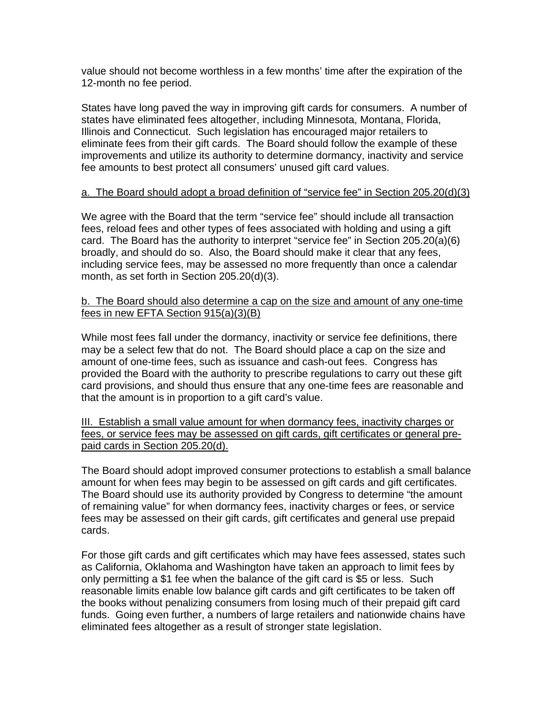value should not become worthless in a few months' time after the expiration of the 12-month no fee period.

States have long paved the way in improving gift cards for consumers. A number of states have eliminated fees altogether, including Minnesota, Montana, Florida, Illinois and Connecticut. Such legislation has encouraged major retailers to eliminate fees from their gift cards. The Board should follow the example of these improvements and utilize its authority to determine dormancy, inactivity and service fee amounts to best protect all consumers' unused gift card values.

### a. The Board should adopt a broad definition of "service fee" in Section 205.20(d)(3)

We agree with the Board that the term "service fee" should include all transaction fees, reload fees and other types of fees associated with holding and using a gift card. The Board has the authority to interpret "service fee" in Section 205.20(a)(6) broadly, and should do so. Also, the Board should make it clear that any fees, including service fees, may be assessed no more frequently than once a calendar month, as set forth in Section 205.20(d)(3).

## b. The Board should also determine a cap on the size and amount of any one-time fees in new EFTA Section 915(a)(3)(B)

While most fees fall under the dormancy, inactivity or service fee definitions, there may be a select few that do not. The Board should place a cap on the size and amount of one-time fees, such as issuance and cash-out fees. Congress has provided the Board with the authority to prescribe regulations to carry out these gift card provisions, and should thus ensure that any one-time fees are reasonable and that the amount is in proportion to a gift card's value.

III. Establish a small value amount for when dormancy fees, inactivity charges or fees, or service fees may be assessed on gift cards, gift certificates or general prepaid cards in Section 205.20(d).

The Board should adopt improved consumer protections to establish a small balance amount for when fees may begin to be assessed on gift cards and gift certificates. The Board should use its authority provided by Congress to determine "the amount of remaining value" for when dormancy fees, inactivity charges or fees, or service fees may be assessed on their gift cards, gift certificates and general use prepaid cards.

For those gift cards and gift certificates which may have fees assessed, states such as California, Oklahoma and Washington have taken an approach to limit fees by only permitting a \$1 fee when the balance of the gift card is \$5 or less. Such reasonable limits enable low balance gift cards and gift certificates to be taken off the books without penalizing consumers from losing much of their prepaid gift card funds. Going even further, a numbers of large retailers and nationwide chains have eliminated fees altogether as a result of stronger state legislation.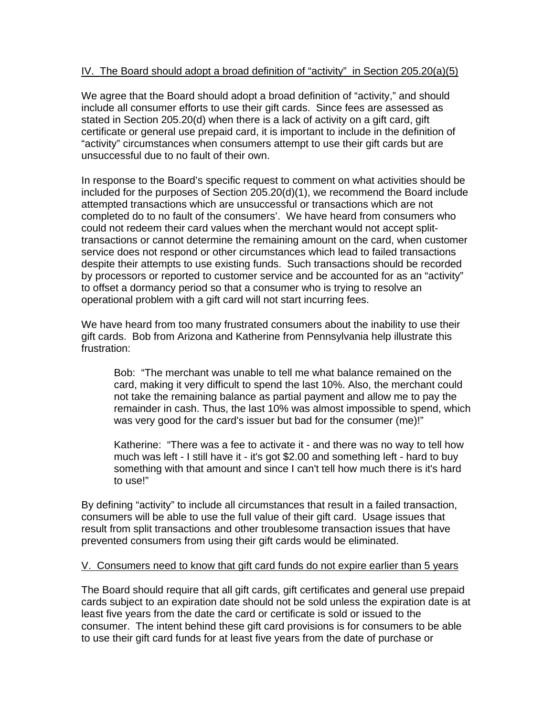## IV. The Board should adopt a broad definition of "activity" in Section 205.20(a)(5)

We agree that the Board should adopt a broad definition of "activity," and should include all consumer efforts to use their gift cards. Since fees are assessed as stated in Section 205.20(d) when there is a lack of activity on a gift card, gift certificate or general use prepaid card, it is important to include in the definition of "activity" circumstances when consumers attempt to use their gift cards but are unsuccessful due to no fault of their own.

In response to the Board's specific request to comment on what activities should be included for the purposes of Section 205.20(d)(1), we recommend the Board include attempted transactions which are unsuccessful or transactions which are not completed do to no fault of the consumers'. We have heard from consumers who could not redeem their card values when the merchant would not accept splittransactions or cannot determine the remaining amount on the card, when customer service does not respond or other circumstances which lead to failed transactions despite their attempts to use existing funds. Such transactions should be recorded by processors or reported to customer service and be accounted for as an "activity" to offset a dormancy period so that a consumer who is trying to resolve an operational problem with a gift card will not start incurring fees.

We have heard from too many frustrated consumers about the inability to use their gift cards. Bob from Arizona and Katherine from Pennsylvania help illustrate this frustration:

Bob: "The merchant was unable to tell me what balance remained on the card, making it very difficult to spend the last 10%. Also, the merchant could not take the remaining balance as partial payment and allow me to pay the remainder in cash. Thus, the last 10% was almost impossible to spend, which was very good for the card's issuer but bad for the consumer (me)!"

Katherine: "There was a fee to activate it - and there was no way to tell how much was left - I still have it - it's got \$2.00 and something left - hard to buy something with that amount and since I can't tell how much there is it's hard to use!"

By defining "activity" to include all circumstances that result in a failed transaction, consumers will be able to use the full value of their gift card. Usage issues that result from split transactions and other troublesome transaction issues that have prevented consumers from using their gift cards would be eliminated.

### V. Consumers need to know that gift card funds do not expire earlier than 5 years

The Board should require that all gift cards, gift certificates and general use prepaid cards subject to an expiration date should not be sold unless the expiration date is at least five years from the date the card or certificate is sold or issued to the consumer. The intent behind these gift card provisions is for consumers to be able to use their gift card funds for at least five years from the date of purchase or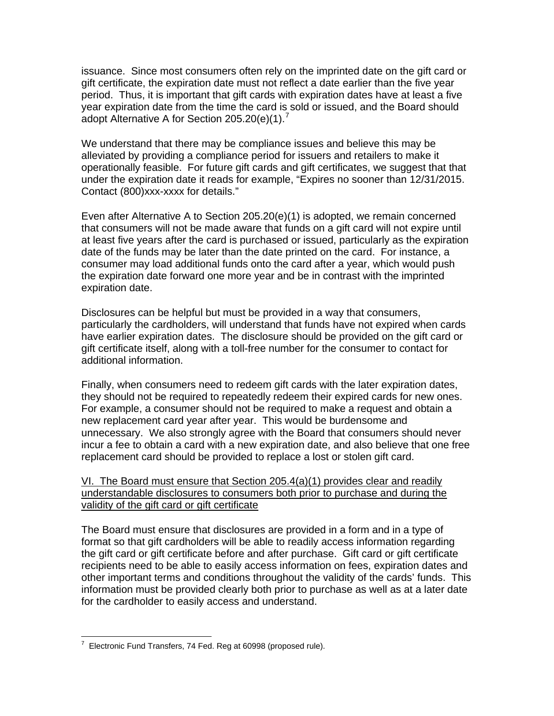issuance. Since most consumers often rely on the imprinted date on the gift card or gift certificate, the expiration date must not reflect a date earlier than the five year period. Thus, it is important that gift cards with expiration dates have at least a five year expiration date from the time the card is sold or issued, and the Board should adopt Alternative A for Section 205.20(e)(1).<sup>[7](#page-4-0)</sup>

We understand that there may be compliance issues and believe this may be alleviated by providing a compliance period for issuers and retailers to make it operationally feasible. For future gift cards and gift certificates, we suggest that that under the expiration date it reads for example, "Expires no sooner than 12/31/2015. Contact (800)xxx-xxxx for details."

Even after Alternative A to Section 205.20(e)(1) is adopted, we remain concerned that consumers will not be made aware that funds on a gift card will not expire until at least five years after the card is purchased or issued, particularly as the expiration date of the funds may be later than the date printed on the card. For instance, a consumer may load additional funds onto the card after a year, which would push the expiration date forward one more year and be in contrast with the imprinted expiration date.

Disclosures can be helpful but must be provided in a way that consumers, particularly the cardholders, will understand that funds have not expired when cards have earlier expiration dates. The disclosure should be provided on the gift card or gift certificate itself, along with a toll-free number for the consumer to contact for additional information.

Finally, when consumers need to redeem gift cards with the later expiration dates, they should not be required to repeatedly redeem their expired cards for new ones. For example, a consumer should not be required to make a request and obtain a new replacement card year after year. This would be burdensome and unnecessary. We also strongly agree with the Board that consumers should never incur a fee to obtain a card with a new expiration date, and also believe that one free replacement card should be provided to replace a lost or stolen gift card.

## VI. The Board must ensure that Section 205.4(a)(1) provides clear and readily understandable disclosures to consumers both prior to purchase and during the validity of the gift card or gift certificate

The Board must ensure that disclosures are provided in a form and in a type of format so that gift cardholders will be able to readily access information regarding the gift card or gift certificate before and after purchase. Gift card or gift certificate recipients need to be able to easily access information on fees, expiration dates and other important terms and conditions throughout the validity of the cards' funds. This information must be provided clearly both prior to purchase as well as at a later date for the cardholder to easily access and understand.

<span id="page-4-0"></span> $\overline{a}$ 7 Electronic Fund Transfers, 74 Fed. Reg at 60998 (proposed rule).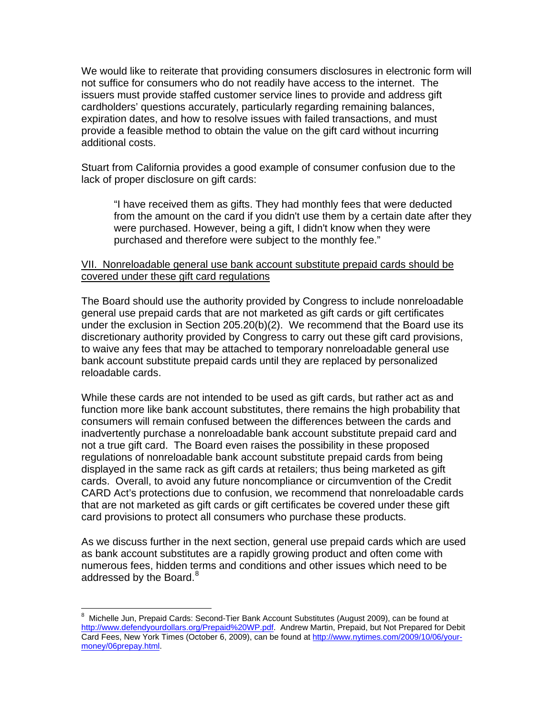We would like to reiterate that providing consumers disclosures in electronic form will not suffice for consumers who do not readily have access to the internet. The issuers must provide staffed customer service lines to provide and address gift cardholders' questions accurately, particularly regarding remaining balances, expiration dates, and how to resolve issues with failed transactions, and must provide a feasible method to obtain the value on the gift card without incurring additional costs.

Stuart from California provides a good example of consumer confusion due to the lack of proper disclosure on gift cards:

"I have received them as gifts. They had monthly fees that were deducted from the amount on the card if you didn't use them by a certain date after they were purchased. However, being a gift, I didn't know when they were purchased and therefore were subject to the monthly fee."

### VII. Nonreloadable general use bank account substitute prepaid cards should be covered under these gift card regulations

The Board should use the authority provided by Congress to include nonreloadable general use prepaid cards that are not marketed as gift cards or gift certificates under the exclusion in Section  $205.20(b)(2)$ . We recommend that the Board use its discretionary authority provided by Congress to carry out these gift card provisions, to waive any fees that may be attached to temporary nonreloadable general use bank account substitute prepaid cards until they are replaced by personalized reloadable cards.

While these cards are not intended to be used as gift cards, but rather act as and function more like bank account substitutes, there remains the high probability that consumers will remain confused between the differences between the cards and inadvertently purchase a nonreloadable bank account substitute prepaid card and not a true gift card. The Board even raises the possibility in these proposed regulations of nonreloadable bank account substitute prepaid cards from being displayed in the same rack as gift cards at retailers; thus being marketed as gift cards. Overall, to avoid any future noncompliance or circumvention of the Credit CARD Act's protections due to confusion, we recommend that nonreloadable cards that are not marketed as gift cards or gift certificates be covered under these gift card provisions to protect all consumers who purchase these products.

As we discuss further in the next section, general use prepaid cards which are used as bank account substitutes are a rapidly growing product and often come with numerous fees, hidden terms and conditions and other issues which need to be addressed by the Board. $8<sup>8</sup>$  $8<sup>8</sup>$ 

<span id="page-5-0"></span>enders<br>Britan Michelle Jun, Prepaid Cards: Second-Tier Bank Account Substitutes (August 2009), can be found at a <http://www.defendyourdollars.org/Prepaid%20WP.pdf>. Andrew Martin, Prepaid, but Not Prepared for Debit Card Fees, New York Times (October 6, 2009), can be found at [http://www.nytimes.com/2009/10/06/your](http://www.nytimes.com/2009/10/06/your-money/06prepay.html)[money/06prepay.html](http://www.nytimes.com/2009/10/06/your-money/06prepay.html).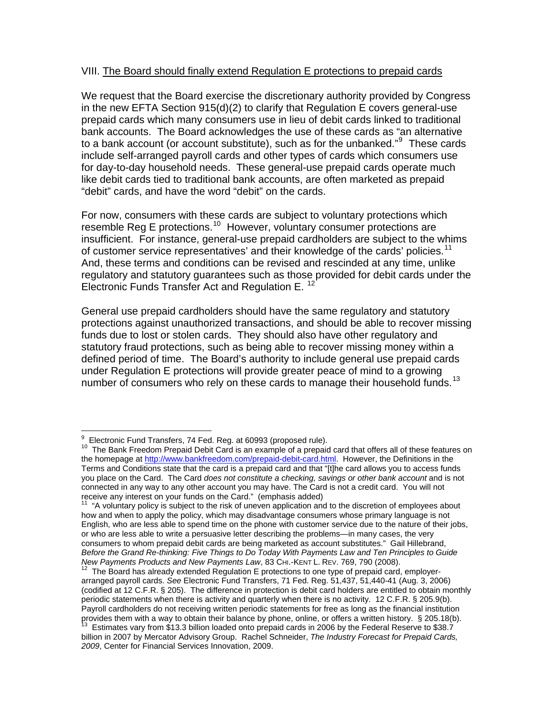#### VIII. The Board should finally extend Regulation E protections to prepaid cards

We request that the Board exercise the discretionary authority provided by Congress in the new EFTA Section 915(d)(2) to clarify that Regulation E covers general-use prepaid cards which many consumers use in lieu of debit cards linked to traditional bank accounts. The Board acknowledges the use of these cards as "an alternative to a bank account (or account substitute), such as for the unbanked."<sup>[9](#page-6-0)</sup> These cards include self-arranged payroll cards and other types of cards which consumers use for day-to-day household needs. These general-use prepaid cards operate much like debit cards tied to traditional bank accounts, are often marketed as prepaid "debit" cards, and have the word "debit" on the cards.

For now, consumers with these cards are subject to voluntary protections which resemble Reg E protections.<sup>[10](#page-6-1)</sup> However, voluntary consumer protections are insufficient. For instance, general-use prepaid cardholders are subject to the whims of customer service representatives' and their knowledge of the cards' policies.<sup>[11](#page-6-2)</sup> And, these terms and conditions can be revised and rescinded at any time, unlike regulatory and statutory guarantees such as those provided for debit cards under the Electronic Funds Transfer Act and Regulation E. [12](#page-6-3)

General use prepaid cardholders should have the same regulatory and statutory protections against unauthorized transactions, and should be able to recover missing funds due to lost or stolen cards. They should also have other regulatory and statutory fraud protections, such as being able to recover missing money within a defined period of time. The Board's authority to include general use prepaid cards under Regulation E protections will provide greater peace of mind to a growing number of consumers who rely on these cards to manage their household funds.<sup>[13](#page-6-4)</sup>

 $\overline{a}$ 9 Electronic Fund Transfers, 74 Fed. Reg. at 60993 (proposed rule).

<span id="page-6-1"></span><span id="page-6-0"></span><sup>10</sup> The Bank Freedom Prepaid Debit Card is an example of a prepaid card that offers all of these features on the homepage at [http://www.bankfreedom.com/prepaid-debit-card.html.](http://www.bankfreedom.com/prepaid-debit-card.html) However, the Definitions in the Terms and Conditions state that the card is a prepaid card and that "[t]he card allows you to access funds you place on the Card. The Card *does not constitute a checking, savings or other bank account* and is not connected in any way to any other account you may have. The Card is not a credit card. You will not receive any interest on your funds on the Card." (emphasis added)

<span id="page-6-2"></span><sup>11 &</sup>quot;A voluntary policy is subject to the risk of uneven application and to the discretion of employees about how and when to apply the policy, which may disadvantage consumers whose primary language is not English, who are less able to spend time on the phone with customer service due to the nature of their jobs, or who are less able to write a persuasive letter describing the problems—in many cases, the very consumers to whom prepaid debit cards are being marketed as account substitutes." Gail Hillebrand, *Before the Grand Re-thinking: Five Things to Do Today With Payments Law and Ten Principles to Guide* 

<span id="page-6-3"></span><sup>&</sup>lt;sup>12</sup> The Board has already extended Regulation E protections to one type of prepaid card, employerarranged payroll cards. *See* Electronic Fund Transfers, 71 Fed. Reg. 51,437, 51,440-41 (Aug. 3, 2006) (codified at 12 C.F.R. § 205). The difference in protection is debit card holders are entitled to obtain monthly periodic statements when there is activity and quarterly when there is no activity. 12 C.F.R. § 205.9(b). Payroll cardholders do not receiving written periodic statements for free as long as the financial institution provides them with a way to obtain their balance by phone, online, or offers a written history. § 205.18(b).<br><sup>13</sup> Estimates vary from \$13.3 billion loaded onto prepaid cards in 2006 by the Federal Reserve to \$38.7

<span id="page-6-4"></span>billion in 2007 by Mercator Advisory Group. Rachel Schneider, *The Industry Forecast for Prepaid Cards, 2009*, Center for Financial Services Innovation, 2009.